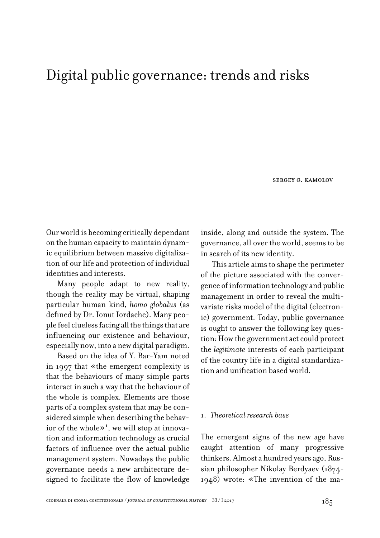# Digital public governance: trends and risks

sergey g. kamolov

Our world is becoming critically dependant on the human capacity to maintain dynamic equilibrium between massive digitalization of our life and protection of individual identities and interests.

Many people adapt to new reality, though the reality may be virtual, shaping particular human kind, *homo globalus* (as defined by Dr. Ionut Iordache). Many people feel clueless facing all the things that are influencing our existence and behaviour, especially now, into a new digital paradigm.

Based on the idea of Y. Bar-Yam noted in 1997 that «the emergent complexity is that the behaviours of many simple parts interact in such a way that the behaviour of the whole is complex. Elements are those parts of a complex system that may be considered simple when describing the behavior of the whole»<sup>1</sup>, we will stop at innovation and information technology as crucial factors of influence over the actual public management system. Nowadays the public governance needs a new architecture designed to facilitate the flow of knowledge

inside, along and outside the system. The governance, all over the world, seems to be in search of its new identity.

This article aims to shape the perimeter of the picture associated with the convergence of information technology and public management in order to reveal the multivariate risks model of the digital (electronic) government. Today, public governance is ought to answer the following key question: How the government act could protect the *legitimate* interests of each participant of the country life in a digital standardization and unification based world.

#### 1. *Theoretical research base*

The emergent signs of the new age have caught attention of many progressive thinkers. Almost a hundred years ago, Russian philosopher Nikolay Berdyaev (1874- 1948) wrote: «The invention of the ma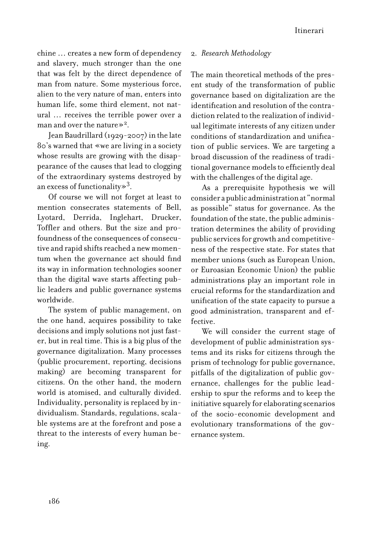chine … creates a new form of dependency and slavery, much stronger than the one that was felt by the direct dependence of man from nature. Some mysterious force, alien to the very nature of man, enters into human life, some third element, not natural … receives the terrible power over a man and over the nature  $\gg^2$ .

Jean Baudrillard (1929-2007) in the late 80's warned that «we are living in a society whose results are growing with the disappearance of the causes that lead to clogging of the extraordinary systems destroyed by an excess of functionality  $\gg^3$ .

Of course we will not forget at least to mention consecrates statements of Bell, Lyotard, Derrida, Inglehart, Drucker, Toffler and others. But the size and profoundness of the consequences of consecutive and rapid shifts reached a new momentum when the governance act should find its way in information technologies sooner than the digital wave starts affecting public leaders and public governance systems worldwide.

The system of public management, on the one hand, acquires possibility to take decisions and imply solutions not just faster, but in real time. This is a big plus of the governance digitalization. Many processes (public procurement, reporting, decisions making) are becoming transparent for citizens. On the other hand, the modern world is atomised, and culturally divided. Individuality, personality is replaced by individualism. Standards, regulations, scalable systems are at the forefront and pose a threat to the interests of every human being.

# 2. *Research Methodology*

The main theoretical methods of the present study of the transformation of public governance based on digitalization are the identification and resolution of the contradiction related to the realization of individual legitimate interests of any citizen under conditions of standardization and unification of public services. We are targeting a broad discussion of the readiness of traditional governance models to efficiently deal with the challenges of the digital age.

As a prerequisite hypothesis we will consider a public administration at "normal as possible" status for governance. As the foundation of the state, the public administration determines the ability of providing public services for growth and competitiveness of the respective state. For states that member unions (such as European Union, or Euroasian Economic Union) the public administrations play an important role in crucial reforms for the standardization and unification of the state capacity to pursue a good administration, transparent and effective.

We will consider the current stage of development of public administration systems and its risks for citizens through the prism of technology for public governance, pitfalls of the digitalization of public governance, challenges for the public leadership to spur the reforms and to keep the initiative squarely for elaborating scenarios of the socio-economic development and evolutionary transformations of the governance system.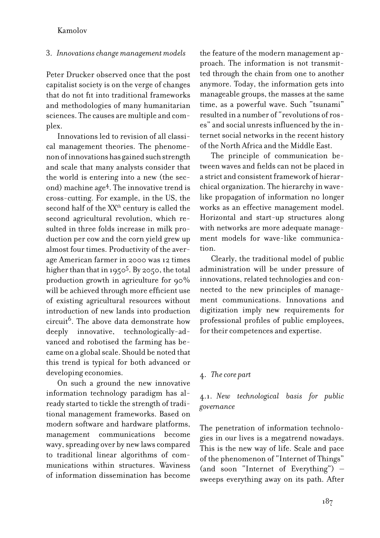#### 3. *Innovations change management models*

Peter Drucker observed once that the post capitalist society is on the verge of changes that do not fit into traditional frameworks and methodologies of many humanitarian sciences. The causes are multiple and complex.

Innovations led to revision of all classical management theories. The phenomenon of innovations has gained such strength and scale that many analysts consider that the world is entering into a new (the second) machine age4. The innovative trend is cross-cutting. For example, in the US, the second half of the XX<sup>th</sup> century is called the second agricultural revolution, which resulted in three folds increase in milk production per cow and the corn yield grew up almost four times. Productivity of the average American farmer in 2000 was 12 times higher than that in 1950<sup>5</sup>. By 2050, the total production growth in agriculture for 90% will be achieved through more efficient use of existing agricultural resources without introduction of new lands into production circuit<sup>6</sup>. The above data demonstrate how deeply innovative, technologically-advanced and robotised the farming has became on a global scale. Should be noted that this trend is typical for both advanced or developing economies.

On such a ground the new innovative information technology paradigm has already started to tickle the strength of traditional management frameworks. Based on modern software and hardware platforms, management communications become wavy, spreading over by new laws compared to traditional linear algorithms of communications within structures. Waviness of information dissemination has become

the feature of the modern management approach. The information is not transmitted through the chain from one to another anymore. Today, the information gets into manageable groups, the masses at the same time, as a powerful wave. Such "tsunami" resulted in a number of "revolutions of roses" and social unrests influenced by the internet social networks in the recent history of the North Africa and the Middle East.

The principle of communication between waves and fields can not be placed in a strict and consistent framework of hierarchical organization. The hierarchy in wavelike propagation of information no longer works as an effective management model. Horizontal and start-up structures along with networks are more adequate management models for wave-like communication.

Clearly, the traditional model of public administration will be under pressure of innovations, related technologies and connected to the new principles of management communications. Innovations and digitization imply new requirements for professional profiles of public employees, for their competences and expertise.

#### 4. *The core part*

# 4.1. *New technological basis for public governance*

The penetration of information technologies in our lives is a megatrend nowadays. This is the new way of life. Scale and pace of the phenomenon of "Internet of Things" (and soon "Internet of Everything") – sweeps everything away on its path. After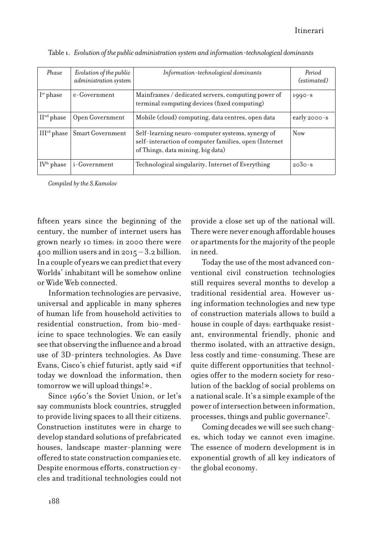| Phase                  | Evolution of the public<br>administration system | Information-technological dominants                                                                                                            | Period<br>(estimated) |
|------------------------|--------------------------------------------------|------------------------------------------------------------------------------------------------------------------------------------------------|-----------------------|
| I <sup>st</sup> phase  | e-Government                                     | Mainframes / dedicated servers, computing power of<br>terminal computing devices (fixed computing)                                             | $1990 - S$            |
| II <sup>nd</sup> phase | Open Government                                  | Mobile (cloud) computing, data centres, open data                                                                                              | early $2000 - s$      |
| $\rm III^{rd}$ phase   | <b>Smart Government</b>                          | Self-learning neuro-computer systems, synergy of<br>self-interaction of computer families, open (Internet<br>of Things, data mining, big data) | <b>Now</b>            |
| $\rm I V^{th}$ phase   | i-Government                                     | Technological singularity, Internet of Everything                                                                                              | $2030 - s$            |

Table 1. *Evolution of the public administration system and information-technological dominants*

*Compiled by the S.Kamolov*

fifteen years since the beginning of the century, the number of internet users has grown nearly 10 times: in 2000 there were 400 million users and in  $2015 - 3.2$  billion. In a couple of years we can predict that every Worlds' inhabitant will be somehow online or Wide Web connected.

Information technologies are pervasive, universal and applicable in many spheres of human life from household activities to residential construction, from bio-medicine to space technologies. We can easily see that observing the influence and a broad use of 3D-printers technologies. As Dave Evans, Cisco's chief futurist, aptly said «if today we download the information, then tomorrow we will upload things!».

Since 1960's the Soviet Union, or let's say communists block countries, struggled to provide living spaces to all their citizens. Construction institutes were in charge to develop standard solutions of prefabricated houses, landscape master-planning were offered to state construction companies etc. Despite enormous efforts, construction cycles and traditional technologies could not

provide a close set up of the national will. There were never enough affordable houses or apartments for the majority of the people in need.

Today the use of the most advanced conventional civil construction technologies still requires several months to develop a traditional residential area. However using information technologies and new type of construction materials allows to build a house in couple of days: earthquake resistant, environmental friendly, phonic and thermo isolated, with an attractive design, less costly and time-consuming. These are quite different opportunities that technologies offer to the modern society for resolution of the backlog of social problems on a national scale. It's a simple example of the power of intersection between information, -<br>processes, things and public governance<sup>7</sup>.

Coming decades we will see such changes, which today we cannot even imagine. The essence of modern development is in exponential growth of all key indicators of the global economy.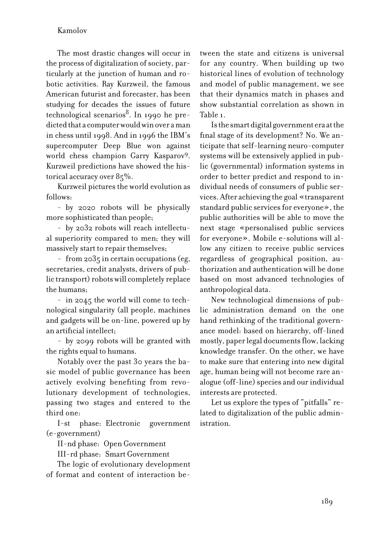The most drastic changes will occur in the process of digitalization of society, particularly at the junction of human and robotic activities. Ray Kurzweil, the famous American futurist and forecaster, has been studying for decades the issues of future technological scenarios<sup>8</sup>. In 1990 he predicted that a computer would win over a man in chess until 1998. And in 1996 the IBM's supercomputer Deep Blue won against world chess champion Garry Kasparov9. Kurzweil predictions have showed the historical accuracy over 85%.

Kurzweil pictures the world evolution as follows:

- by 2020 robots will be physically more sophisticated than people;

- by 2032 robots will reach intellectual superiority compared to men; they will massively start to repair themselves;

- from 2035 in certain occupations (eg, secretaries, credit analysts, drivers of public transport) robots will completely replace the humans;

- in 2045 the world will come to technological singularity (all people, machines and gadgets will be on-line, powered up by an artificial intellect;

- by 2099 robots will be granted with the rights equal to humans.

Notably over the past 30 years the basic model of public governance has been actively evolving benefiting from revolutionary development of technologies, passing two stages and entered to the third one:

I-st phase: Electronic government (e-government)

II-nd phase: Open Government

III-rd phase: Smart Government

The logic of evolutionary development of format and content of interaction between the state and citizens is universal for any country. When building up two historical lines of evolution of technology and model of public management, we see that their dynamics match in phases and show substantial correlation as shown in Table 1.

Is the smart digital government era at the final stage of its development? No. We anticipate that self-learning neuro-computer systems will be extensively applied in public (governmental) information systems in order to better predict and respond to individual needs of consumers of public services. After achieving the goal «transparent standard public services for everyone», the public authorities will be able to move the next stage «personalised public services for everyone». Mobile e-solutions will allow any citizen to receive public services regardless of geographical position, authorization and authentication will be done based on most advanced technologies of anthropological data.

New technological dimensions of public administration demand on the one hand rethinking of the traditional governance model: based on hierarchy, off-lined mostly, paper legal documents flow, lacking knowledge transfer. On the other, we have to make sure that entering into new digital age, human being will not become rare analogue (off-line) species and our individual interests are protected.

Let us explore the types of "pitfalls" related to digitalization of the public administration.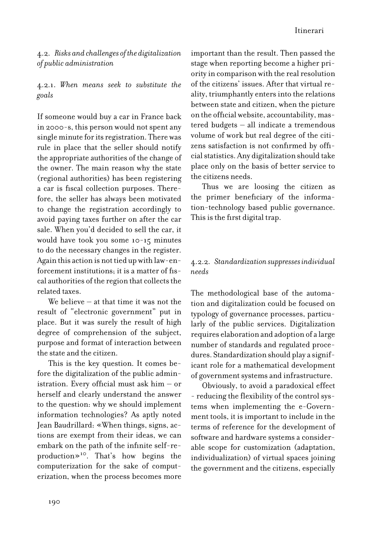4.2. *Risks and challenges of the digitalization of public administration*

4.2.1. *When means seek to substitute the goals*

If someone would buy a car in France back in 2000-s, this person would not spent any single minute for its registration. There was rule in place that the seller should notify the appropriate authorities of the change of the owner. The main reason why the state (regional authorities) has been registering a car is fiscal collection purposes. Therefore, the seller has always been motivated to change the registration accordingly to avoid paying taxes further on after the car sale. When you'd decided to sell the car, it would have took you some 10-15 minutes to do the necessary changes in the register. Again this action is not tied up with law-enforcement institutions; it is a matter of fiscal authorities of the region that collects the related taxes.

We believe – at that time it was not the result of "electronic government" put in place. But it was surely the result of high degree of comprehension of the subject, purpose and format of interaction between the state and the citizen.

This is the key question. It comes before the digitalization of the public administration. Every official must ask him – or herself and clearly understand the answer to the question: why we should implement information technologies? As aptly noted Jean Baudrillard: «When things, signs, actions are exempt from their ideas, we can embark on the path of the infinite self-reproduction»10. That's how begins the computerization for the sake of computerization, when the process becomes more

important than the result. Then passed the stage when reporting become a higher priority in comparison with the real resolution of the citizens' issues. After that virtual reality, triumphantly enters into the relations between state and citizen, when the picture on the official website, accountability, mastered budgets – all indicate a tremendous volume of work but real degree of the citizens satisfaction is not confirmed by official statistics. Any digitalization should take place only on the basis of better service to the citizens needs.

Thus we are loosing the citizen as the primer beneficiary of the information-technology based public governance. This is the first digital trap.

# 4.2.2. *Standardization suppresses individual needs*

The methodological base of the automation and digitalization could be focused on typology of governance processes, particularly of the public services. Digitalization requires elaboration and adoption of a large number of standards and regulated procedures. Standardization should play a significant role for a mathematical development of government systems and infrastructure.

Obviously, to avoid a paradoxical effect - reducing the flexibility of the control systems when implementing the e-Government tools, it is important to include in the terms of reference for the development of software and hardware systems a considerable scope for customization (adaptation, individualization) of virtual spaces joining the government and the citizens, especially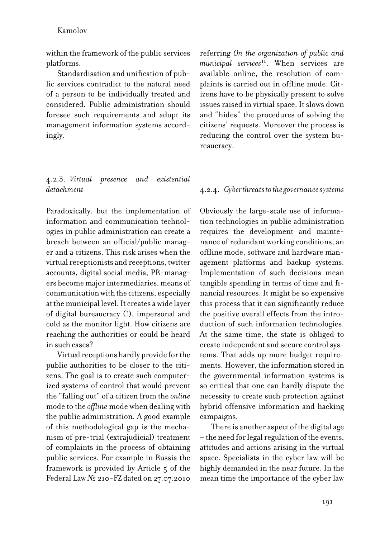within the framework of the public services platforms.

Standardisation and unification of public services contradict to the natural need of a person to be individually treated and considered. Public administration should foresee such requirements and adopt its management information systems accordingly.

# 4.2.3. *Virtual presence and existential detachment*

Paradoxically, but the implementation of information and communication technologies in public administration can create a breach between an official/public manager and a citizens. This risk arises when the virtual receptionists and receptions, twitter accounts, digital social media, PR-managers become major intermediaries, means of communication with the citizens, especially at the municipal level. It creates a wide layer of digital bureaucracy (!), impersonal and cold as the monitor light. How citizens are reaching the authorities or could be heard in such cases?

Virtual receptions hardly provide for the public authorities to be closer to the citizens. The goal is to create such computerized systems of control that would prevent the "falling out" of a citizen from the *online* mode to the *offline* mode when dealing with the public administration. A good example of this methodological gap is the mechanism of pre-trial (extrajudicial) treatment of complaints in the process of obtaining public services. For example in Russia the framework is provided by Article 5 of the Federal Law № 210-FZ dated on 27.07.2010

referring *On the organization of public and municipal services*11. When services are available online, the resolution of complaints is carried out in offline mode. Citizens have to be physically present to solve issues raised in virtual space. It slows down and "hides" the procedures of solving the citizens' requests. Moreover the process is reducing the control over the system bureaucracy.

#### 4.2.4. *Cyber threats to the governance systems*

Obviously the large-scale use of information technologies in public administration requires the development and maintenance of redundant working conditions, an offline mode, software and hardware management platforms and backup systems. Implementation of such decisions mean tangible spending in terms of time and financial resources. It might be so expensive this process that it can significantly reduce the positive overall effects from the introduction of such information technologies. At the same time, the state is obliged to create independent and secure control systems. That adds up more budget requirements. However, the information stored in the governmental information systems is so critical that one can hardly dispute the necessity to create such protection against hybrid offensive information and hacking campaigns.

There is another aspect of the digital age – the need for legal regulation of the events, attitudes and actions arising in the virtual space. Specialists in the cyber law will be highly demanded in the near future. In the mean time the importance of the cyber law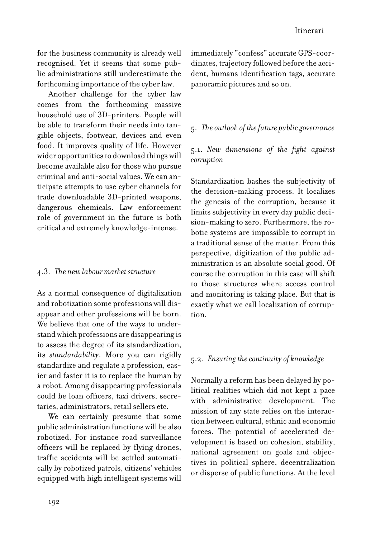for the business community is already well recognised. Yet it seems that some public administrations still underestimate the forthcoming importance of the cyber law.

Another challenge for the cyber law comes from the forthcoming massive household use of 3D-printers. People will be able to transform their needs into tangible objects, footwear, devices and even food. It improves quality of life. However wider opportunities to download things will become available also for those who pursue criminal and anti-social values. We can anticipate attempts to use cyber channels for trade downloadable 3D-printed weapons, dangerous chemicals. Law enforcement role of government in the future is both critical and extremely knowledge-intense.

# 4.3. *The new labour market structure*

As a normal consequence of digitalization and robotization some professions will disappear and other professions will be born. We believe that one of the ways to understand which professions are disappearing is to assess the degree of its standardization, its *standardability*. More you can rigidly standardize and regulate a profession, easier and faster it is to replace the human by a robot. Among disappearing professionals could be loan officers, taxi drivers, secretaries, administrators, retail sellers etc.

We can certainly presume that some public administration functions will be also robotized. For instance road surveillance officers will be replaced by flying drones, traffic accidents will be settled automatically by robotized patrols, citizens' vehicles equipped with high intelligent systems will

immediately "confess" accurate GPS-coordinates, trajectory followed before the accident, humans identification tags, accurate panoramic pictures and so on.

# 5. *The outlook of the future public governance*

# 5.1. *New dimensions of the fight against corruption*

Standardization bashes the subjectivity of the decision-making process. It localizes the genesis of the corruption, because it limits subjectivity in every day public decision-making to zero. Furthermore, the robotic systems are impossible to corrupt in a traditional sense of the matter. From this perspective, digitization of the public administration is an absolute social good. Of course the corruption in this case will shift to those structures where access control and monitoring is taking place. But that is exactly what we call localization of corruption.

# 5.2. *Ensuring the continuity of knowledge*

Normally a reform has been delayed by political realities which did not kept a pace with administrative development. The mission of any state relies on the interaction between cultural, ethnic and economic forces. The potential of accelerated development is based on cohesion, stability, national agreement on goals and objectives in political sphere, decentralization or disperse of public functions. At the level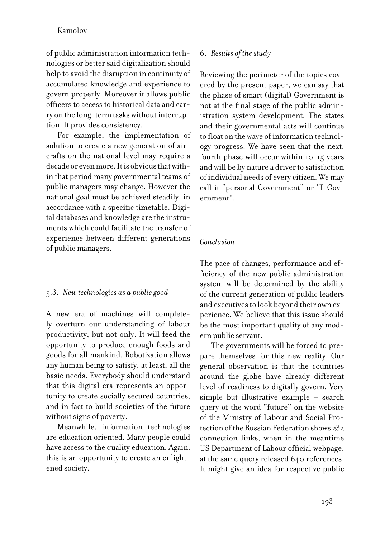of public administration information technologies or better said digitalization should help to avoid the disruption in continuity of accumulated knowledge and experience to govern properly. Moreover it allows public officers to access to historical data and carry on the long-term tasks without interruption. It provides consistency.

For example, the implementation of solution to create a new generation of aircrafts on the national level may require a decade or even more. It is obvious that within that period many governmental teams of public managers may change. However the national goal must be achieved steadily, in accordance with a specific timetable. Digital databases and knowledge are the instruments which could facilitate the transfer of experience between different generations of public managers.

# 5.3. *New technologies as a public good*

A new era of machines will completely overturn our understanding of labour productivity, but not only. It will feed the opportunity to produce enough foods and goods for all mankind. Robotization allows any human being to satisfy, at least, all the basic needs. Everybody should understand that this digital era represents an opportunity to create socially secured countries, and in fact to build societies of the future without signs of poverty.

Meanwhile, information technologies are education oriented. Many people could have access to the quality education. Again, this is an opportunity to create an enlightened society.

### 6. *Results of the study*

Reviewing the perimeter of the topics covered by the present paper, we can say that the phase of smart (digital) Government is not at the final stage of the public administration system development. The states and their governmental acts will continue to float on the wave of information technology progress. We have seen that the next, fourth phase will occur within 10-15 years and will be by nature a driver to satisfaction of individual needs of every citizen. We may call it "personal Government" or "I-Government".

# *Conclusion*

The pace of changes, performance and efficiency of the new public administration system will be determined by the ability of the current generation of public leaders and executives to look beyond their own experience. We believe that this issue should be the most important quality of any modern public servant.

The governments will be forced to prepare themselves for this new reality. Our general observation is that the countries around the globe have already different level of readiness to digitally govern. Very simple but illustrative example – search query of the word "future" on the website of the Ministry of Labour and Social Protection of the Russian Federation shows 232 connection links, when in the meantime US Department of Labour official webpage, at the same query released 640 references. It might give an idea for respective public